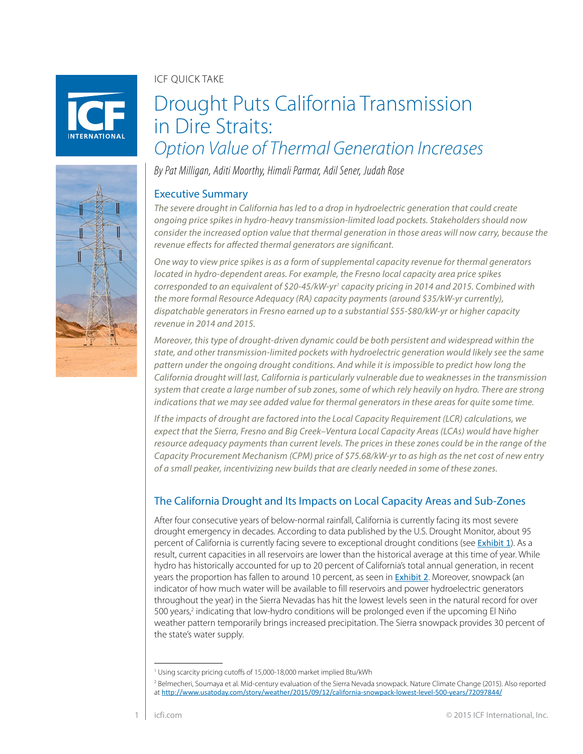ICF QUICK TAKE

# Drought Puts California Transmission in Dire Straits: *Option Value of Thermal Generation Increases*

*By Pat Milligan, Aditi Moorthy, Himali Parmar, Adil Sener, Judah Rose*

## Executive Summary

*The severe drought in California has led to a drop in hydroelectric generation that could create ongoing price spikes in hydro-heavy transmission-limited load pockets. Stakeholders should now consider the increased option value that thermal generation in those areas will now carry, because the revenue effects for affected thermal generators are significant.* 

*One way to view price spikes is as a form of supplemental capacity revenue for thermal generators located in hydro-dependent areas. For example, the Fresno local capacity area price spikes corresponded to an equivalent of \$20-45/kW-yr1 capacity pricing in 2014 and 2015. Combined with the more formal Resource Adequacy (RA) capacity payments (around \$35/kW-yr currently), dispatchable generators in Fresno earned up to a substantial \$55-\$80/kW-yr or higher capacity revenue in 2014 and 2015.* 

*Moreover, this type of drought-driven dynamic could be both persistent and widespread within the state, and other transmission-limited pockets with hydroelectric generation would likely see the same pattern under the ongoing drought conditions. And while it is impossible to predict how long the California drought will last, California is particularly vulnerable due to weaknesses in the transmission system that create a large number of sub zones, some of which rely heavily on hydro. There are strong indications that we may see added value for thermal generators in these areas for quite some time.* 

*If the impacts of drought are factored into the Local Capacity Requirement (LCR) calculations, we expect that the Sierra, Fresno and Big Creek–Ventura Local Capacity Areas (LCAs) would have higher resource adequacy payments than current levels. The prices in these zones could be in the range of the Capacity Procurement Mechanism (CPM) price of \$75.68/kW-yr to as high as the net cost of new entry of a small peaker, incentivizing new builds that are clearly needed in some of these zones.*

## The California Drought and Its Impacts on Local Capacity Areas and Sub-Zones

After four consecutive years of below-normal rainfall, California is currently facing its most severe drought emergency in decades. According to data published by the U.S. Drought Monitor, about 95 percent of California is currently facing severe to exceptional drought conditions (see [Exhibit 1](#page-1-0)). As a result, current capacities in all reservoirs are lower than the historical average at this time of year. While hydro has historically accounted for up to 20 percent of California's total annual generation, in recent years the proportion has fallen to around 10 percent, as seen in [Exhibit 2](#page-2-0). Moreover, snowpack (an indicator of how much water will be available to fill reservoirs and power hydroelectric generators throughout the year) in the Sierra Nevadas has hit the lowest levels seen in the natural record for over 500 years,<sup>2</sup> indicating that low-hydro conditions will be prolonged even if the upcoming El Niño weather pattern temporarily brings increased precipitation. The Sierra snowpack provides 30 percent of the state's water supply.



**NTFRNATIONAL** 

<sup>&</sup>lt;sup>1</sup> Using scarcity pricing cutoffs of 15,000-18,000 market implied Btu/kWh

<sup>2</sup> Belmecheri, Soumaya et al. Mid-century evaluation of the Sierra Nevada snowpack. Nature Climate Change (2015). Also reported at <http://www.usatoday.com/story/weather/2015/09/12/california-snowpack-lowest-level-500-years/72097844/>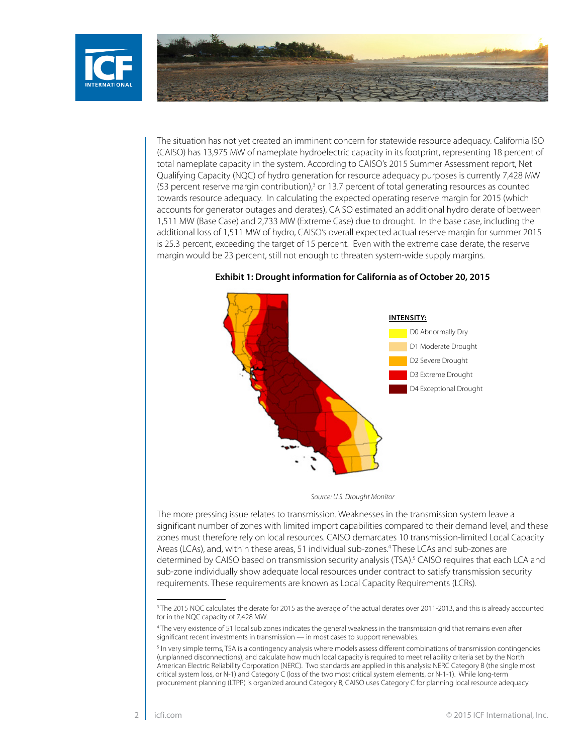<span id="page-1-0"></span>



The situation has not yet created an imminent concern for statewide resource adequacy. California ISO (CAISO) has 13,975 MW of nameplate hydroelectric capacity in its footprint, representing 18 percent of total nameplate capacity in the system. According to CAISO's 2015 Summer Assessment report, Net Qualifying Capacity (NQC) of hydro generation for resource adequacy purposes is currently 7,428 MW (53 percent reserve margin contribution),<sup>3</sup> or 13.7 percent of total generating resources as counted towards resource adequacy. In calculating the expected operating reserve margin for 2015 (which accounts for generator outages and derates), CAISO estimated an additional hydro derate of between 1,511 MW (Base Case) and 2,733 MW (Extreme Case) due to drought. In the base case, including the additional loss of 1,511 MW of hydro, CAISO's overall expected actual reserve margin for summer 2015 is 25.3 percent, exceeding the target of 15 percent. Even with the extreme case derate, the reserve margin would be 23 percent, still not enough to threaten system-wide supply margins.



**Exhibit 1: Drought information for California as of October 20, 2015**

*Source: U.S. Drought Monitor*

The more pressing issue relates to transmission. Weaknesses in the transmission system leave a significant number of zones with limited import capabilities compared to their demand level, and these zones must therefore rely on local resources. CAISO demarcates 10 transmission-limited Local Capacity Areas (LCAs), and, within these areas, 51 individual sub-zones.4 These LCAs and sub-zones are determined by CAISO based on transmission security analysis (TSA).<sup>5</sup> CAISO requires that each LCA and sub-zone individually show adequate local resources under contract to satisfy transmission security requirements. These requirements are known as Local Capacity Requirements (LCRs).

<sup>3</sup> The 2015 NQC calculates the derate for 2015 as the average of the actual derates over 2011-2013, and this is already accounted for in the NQC capacity of 7,428 MW.

<sup>4</sup> The very existence of 51 local sub zones indicates the general weakness in the transmission grid that remains even after significant recent investments in transmission — in most cases to support renewables.

<sup>&</sup>lt;sup>5</sup> In very simple terms, TSA is a contingency analysis where models assess different combinations of transmission contingencies (unplanned disconnections), and calculate how much local capacity is required to meet reliability criteria set by the North American Electric Reliability Corporation (NERC). Two standards are applied in this analysis: NERC Category B (the single most critical system loss, or N-1) and Category C (loss of the two most critical system elements, or N-1-1). While long-term procurement planning (LTPP) is organized around Category B, CAISO uses Category C for planning local resource adequacy.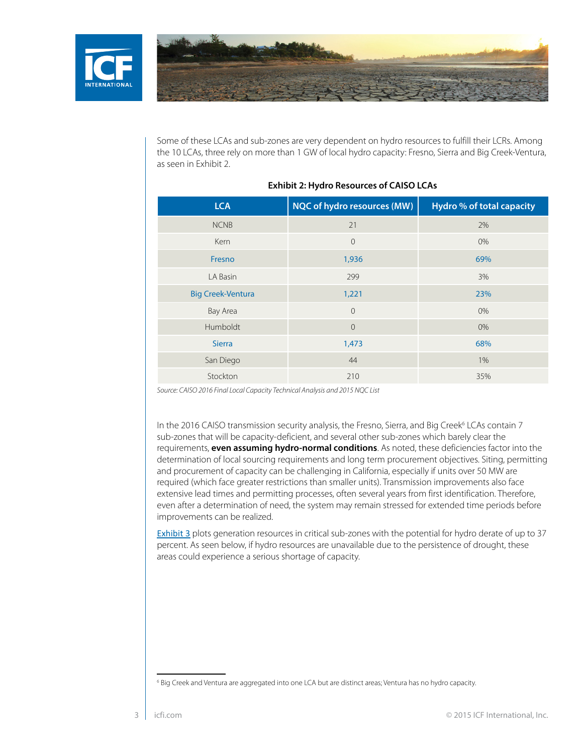<span id="page-2-0"></span>



Some of these LCAs and sub-zones are very dependent on hydro resources to fulfill their LCRs. Among the 10 LCAs, three rely on more than 1 GW of local hydro capacity: Fresno, Sierra and Big Creek-Ventura, as seen in Exhibit 2.

| <b>LCA</b>               | NQC of hydro resources (MW) | <b>Hydro % of total capacity</b> |
|--------------------------|-----------------------------|----------------------------------|
| <b>NCNB</b>              | 21                          | 2%                               |
| Kern                     | $\overline{0}$              | 0%                               |
| Fresno                   | 1,936                       | 69%                              |
| LA Basin                 | 299                         | 3%                               |
| <b>Big Creek-Ventura</b> | 1,221                       | 23%                              |
| Bay Area                 | $\overline{0}$              | 0%                               |
| Humboldt                 | $\overline{0}$              | 0%                               |
| <b>Sierra</b>            | 1,473                       | 68%                              |
| San Diego                | 44                          | 1%                               |
| Stockton                 | 210                         | 35%                              |

#### **Exhibit 2: Hydro Resources of CAISO LCAs**

*Source: CAISO 2016 Final Local Capacity Technical Analysis and 2015 NQC List* 

In the 2016 CAISO transmission security analysis, the Fresno, Sierra, and Big Creek<sup>6</sup> LCAs contain 7 sub-zones that will be capacity-deficient, and several other sub-zones which barely clear the requirements, **even assuming hydro-normal conditions**. As noted, these deficiencies factor into the determination of local sourcing requirements and long term procurement objectives. Siting, permitting and procurement of capacity can be challenging in California, especially if units over 50 MW are required (which face greater restrictions than smaller units). Transmission improvements also face extensive lead times and permitting processes, often several years from first identification. Therefore, even after a determination of need, the system may remain stressed for extended time periods before improvements can be realized.

[Exhibit 3](#page-3-0) plots generation resources in critical sub-zones with the potential for hydro derate of up to 37 percent. As seen below, if hydro resources are unavailable due to the persistence of drought, these areas could experience a serious shortage of capacity.

<sup>6</sup> Big Creek and Ventura are aggregated into one LCA but are distinct areas; Ventura has no hydro capacity.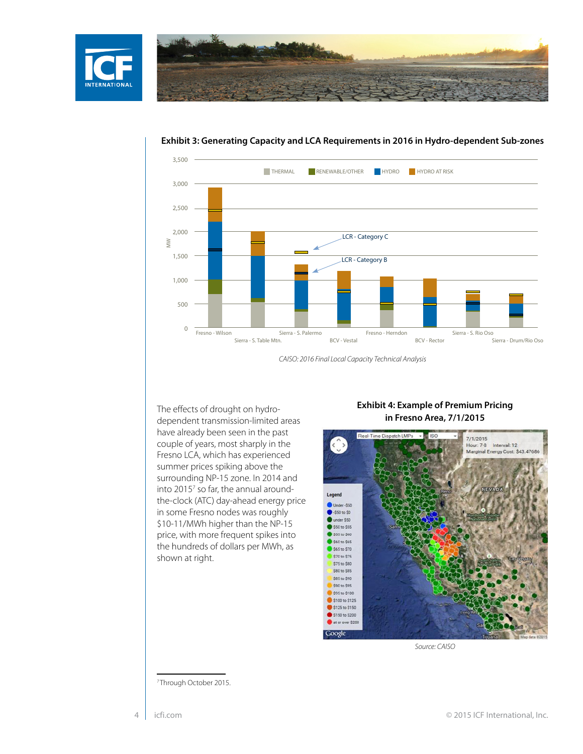<span id="page-3-0"></span>



#### **Exhibit 3: Generating Capacity and LCA Requirements in 2016 in Hydro-dependent Sub-zones**

The effects of drought on hydrodependent transmission-limited areas have already been seen in the past couple of years, most sharply in the Fresno LCA, which has experienced summer prices spiking above the surrounding NP-15 zone. In 2014 and into 2015<sup>7</sup> so far, the annual aroundthe-clock (ATC) day-ahead energy price in some Fresno nodes was roughly \$10-11/MWh higher than the NP-15 price, with more frequent spikes into the hundreds of dollars per MWh, as shown at right.

#### **Exhibit 4: Example of Premium Pricing in Fresno Area, 7/1/2015**



*Source: CAISO*

7 Through October 2015.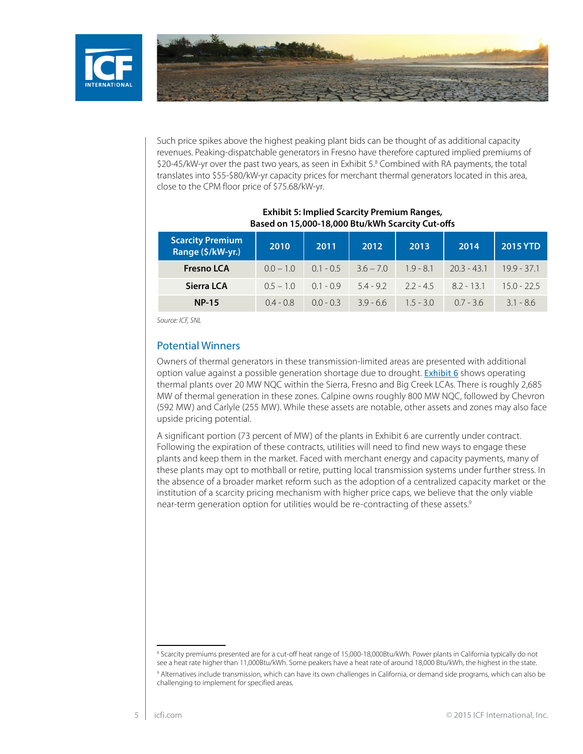



Such price spikes above the highest peaking plant bids can be thought of as additional capacity revenues. Peaking-dispatchable generators in Fresno have therefore captured implied premiums of \$20-45/kW-yr over the past two years, as seen in Exhibit 5.8 Combined with RA payments, the total translates into \$55-\$80/kW-yr capacity prices for merchant thermal generators located in this area, close to the CPM floor price of \$75.68/kW-yr.

| <b>Scarcity Premium</b><br>Range (\$/kW-yr.) | 2010        | 2011        | 2012        | 2013        | 2014          | 2015 YTD      |
|----------------------------------------------|-------------|-------------|-------------|-------------|---------------|---------------|
| <b>Fresno LCA</b>                            | $0.0 - 1.0$ | $0.1 - 0.5$ | $36 - 70$   | $1.9 - 8.1$ | $20.3 - 43.1$ | $199 - 371$   |
| Sierra LCA                                   | $0.5 - 1.0$ | $0.1 - 0.9$ | $5.4 - 9.2$ | $22 - 45$   | $82 - 131$    | $15.0 - 22.5$ |
| <b>NP-15</b>                                 | $0.4 - 0.8$ | $0.0 - 0.3$ | $39 - 66$   | $1.5 - 3.0$ | $0.7 - 3.6$   | $3.1 - 8.6$   |

#### **Exhibit 5: Implied Scarcity Premium Ranges, Based on 15,000-18,000 Btu/kWh Scarcity Cut-offs**

*Source: ICF, SNL*

### Potential Winners

Owners of thermal generators in these transmission-limited areas are presented with additional option value against a possible generation shortage due to drought. [Exhibit 6](#page-5-0) shows operating thermal plants over 20 MW NQC within the Sierra, Fresno and Big Creek LCAs. There is roughly 2,685 MW of thermal generation in these zones. Calpine owns roughly 800 MW NQC, followed by Chevron (592 MW) and Carlyle (255 MW). While these assets are notable, other assets and zones may also face upside pricing potential.

A significant portion (73 percent of MW) of the plants in Exhibit 6 are currently under contract. Following the expiration of these contracts, utilities will need to find new ways to engage these plants and keep them in the market. Faced with merchant energy and capacity payments, many of these plants may opt to mothball or retire, putting local transmission systems under further stress. In the absence of a broader market reform such as the adoption of a centralized capacity market or the institution of a scarcity pricing mechanism with higher price caps, we believe that the only viable near-term generation option for utilities would be re-contracting of these assets.<sup>9</sup>

<sup>&</sup>lt;sup>8</sup> Scarcity premiums presented are for a cut-off heat range of 15,000-18,000Btu/kWh. Power plants in California typically do not see a heat rate higher than 11,000Btu/kWh. Some peakers have a heat rate of around 18,000 Btu/kWh, the highest in the state. 9 Alternatives include transmission, which can have its own challenges in California, or demand side programs, which can also be challenging to implement for specified areas.